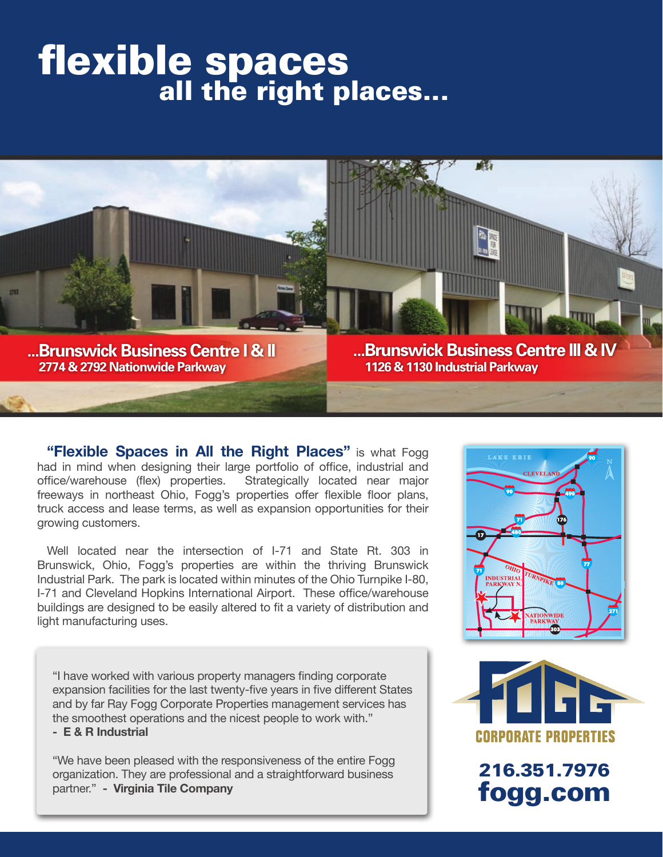# flexible spaces



**"Flexible Spaces in All the Right Places"** is what Fogg had in mind when designing their large portfolio of office, industrial and office/warehouse (flex) properties. Strategically located near major freeways in northeast Ohio, Fogg's properties offer flexible floor plans, truck access and lease terms, as well as expansion opportunities for their growing customers.

Well located near the intersection of I-71 and State Rt. 303 in Brunswick, Ohio, Fogg's properties are within the thriving Brunswick Industrial Park. The park is located within minutes of the Ohio Turnpike I-80, I-71 and Cleveland Hopkins International Airport. These office/warehouse buildings are designed to be easily altered to fit a variety of distribution and light manufacturing uses.

"I have worked with various property managers finding corporate expansion facilities for the last twenty-five years in five different States and by far Ray Fogg Corporate Properties management services has the smoothest operations and the nicest people to work with."

**- E & R Industrial**

"We have been pleased with the responsiveness of the entire Fogg organization. They are professional and a straightforward business partner." **- Virginia Tile Company**





216.351.7976 fogg.com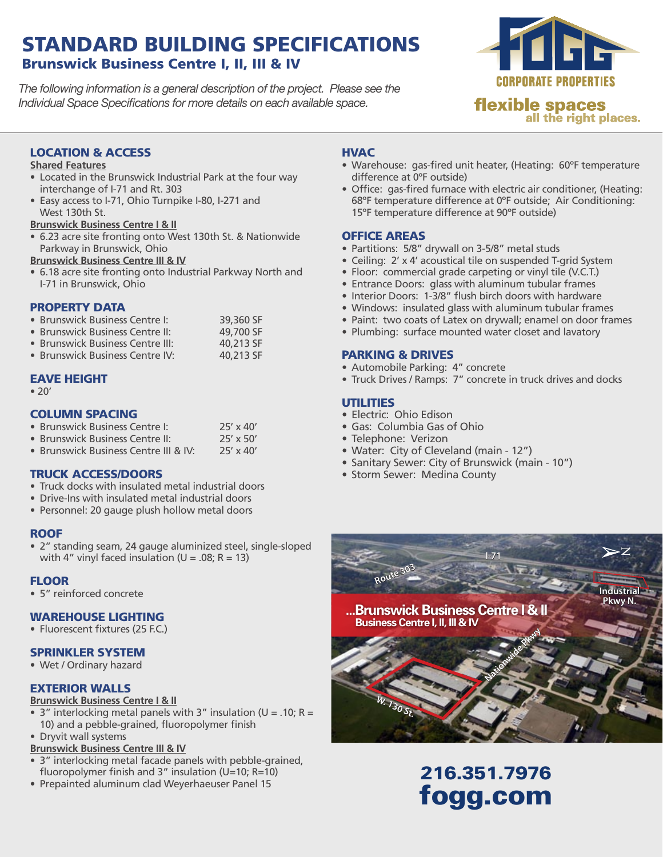### STANDARD BUILDING SPECIFICATIONS Brunswick Business Centre I, II, III & IV

*The following information is a general description of the project. Please see the Individual Space Specifications for more details on each available space.*



#### LOCATION & ACCESS

#### **Shared Features**

- Located in the Brunswick Industrial Park at the four way interchange of I-71 and Rt. 303
- Easy access to I-71, Ohio Turnpike I-80, I-271 and West 130th St.
- **Brunswick Business Centre I & II**
- 6.23 acre site fronting onto West 130th St. & Nationwide Parkway in Brunswick, Ohio

**Brunswick Business Centre III & IV**

• 6.18 acre site fronting onto Industrial Parkway North and I-71 in Brunswick, Ohio

#### PROPERTY DATA

| • Brunswick Business Centre I: |  |  |  | 39,360 SF |  |
|--------------------------------|--|--|--|-----------|--|
|                                |  |  |  | $\cdots$  |  |

| • Brunswick Business Centre II: |  |  |  | 49,700 SF |  |
|---------------------------------|--|--|--|-----------|--|
|                                 |  |  |  |           |  |

- Brunswick Business Centre III: 40,213 SF • Brunswick Business Centre IV: 40,213 SF
- 

#### EAVE HEIGHT

• 20'

#### COLUMN SPACING

| • Brunswick Business Centre I:        | $25' \times 40'$ |
|---------------------------------------|------------------|
| • Brunswick Business Centre II:       | $25' \times 50'$ |
| • Brunswick Business Centre III & IV: | $25' \times 40'$ |

#### TRUCK ACCESS/DOORS

- Truck docks with insulated metal industrial doors
- Drive-Ins with insulated metal industrial doors
- Personnel: 20 gauge plush hollow metal doors

#### **ROOF**

• 2" standing seam, 24 gauge aluminized steel, single-sloped with 4" vinyl faced insulation ( $U = .08$ ; R = 13)

#### **FLOOR**

• 5" reinforced concrete

#### WAREHOUSE LIGHTING

• Fluorescent fixtures (25 F.C.)

#### SPRINKLER SYSTEM

• Wet / Ordinary hazard

#### EXTERIOR WALLS

#### **Brunswick Business Centre I & II**

- 3" interlocking metal panels with 3" insulation ( $U = .10$ ; R = 10) and a pebble-grained, fluoropolymer finish
- Dryvit wall systems
- **Brunswick Business Centre III & IV**
- 3" interlocking metal facade panels with pebble-grained, fluoropolymer finish and 3" insulation (U=10; R=10)
- Prepainted aluminum clad Weyerhaeuser Panel 15

#### **HVAC**

- Warehouse: gas-fired unit heater, (Heating: 60°F temperature difference at 0ºF outside)
- Office: gas-fired furnace with electric air conditioner, (Heating: 68ºF temperature difference at 0ºF outside; Air Conditioning: 15ºF temperature difference at 90ºF outside)

#### OFFICE AREAS

- Partitions: 5/8" drywall on 3-5/8" metal studs
- Ceiling: 2' x 4' acoustical tile on suspended T-grid System
- Floor: commercial grade carpeting or vinyl tile (V.C.T.)
- Entrance Doors: glass with aluminum tubular frames
- Interior Doors: 1-3/8" flush birch doors with hardware
- Windows: insulated glass with aluminum tubular frames
- Paint: two coats of Latex on drywall; enamel on door frames
- Plumbing: surface mounted water closet and lavatory

#### PARKING & DRIVES

- Automobile Parking: 4" concrete
- Truck Drives / Ramps: 7" concrete in truck drives and docks

#### UTILITIES

- Electric: Ohio Edison
- • Gas: Columbia Gas of Ohio
- Telephone: Verizon
- • Water: City of Cleveland (main 12")
- Sanitary Sewer: City of Brunswick (main 10")
- Storm Sewer: Medina County



# 216.351.7976 fogg.com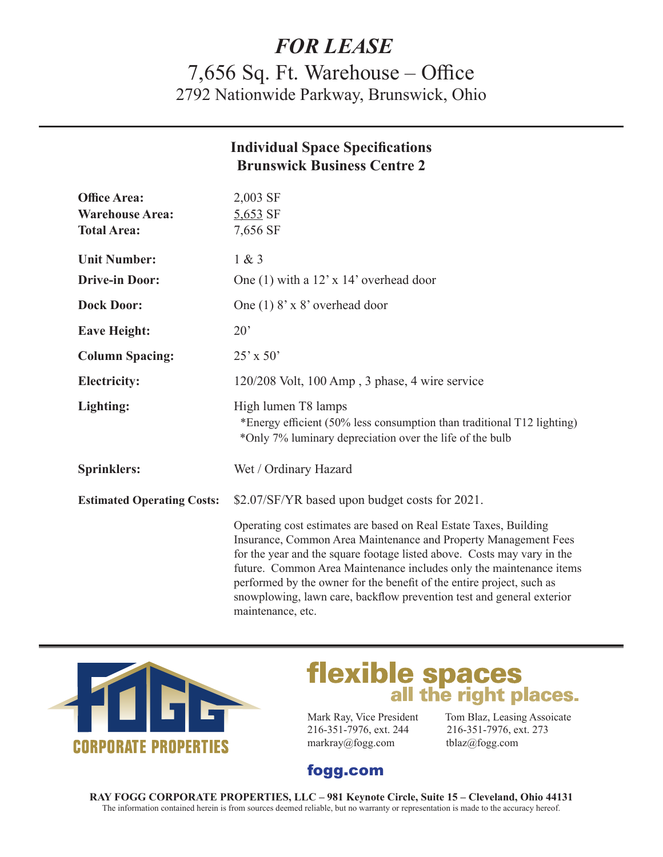# *FOR LEASE*

7,656 Sq. Ft. Warehouse – Office 2792 Nationwide Parkway, Brunswick, Ohio

|                                   | <b>Individual Space Specifications</b><br><b>Brunswick Business Centre 2</b>                                                                                                                                                                                                                                                                                                                                                                                  |
|-----------------------------------|---------------------------------------------------------------------------------------------------------------------------------------------------------------------------------------------------------------------------------------------------------------------------------------------------------------------------------------------------------------------------------------------------------------------------------------------------------------|
| <b>Office Area:</b>               | $2,003$ SF                                                                                                                                                                                                                                                                                                                                                                                                                                                    |
| <b>Warehouse Area:</b>            | $5,653$ SF                                                                                                                                                                                                                                                                                                                                                                                                                                                    |
| <b>Total Area:</b>                | 7,656 SF                                                                                                                                                                                                                                                                                                                                                                                                                                                      |
| <b>Unit Number:</b>               | 1 & 3                                                                                                                                                                                                                                                                                                                                                                                                                                                         |
| <b>Drive-in Door:</b>             | One (1) with a $12' \times 14'$ overhead door                                                                                                                                                                                                                                                                                                                                                                                                                 |
| <b>Dock Door:</b>                 | One $(1)$ 8' x 8' overhead door                                                                                                                                                                                                                                                                                                                                                                                                                               |
| <b>Eave Height:</b>               | $20^{\circ}$                                                                                                                                                                                                                                                                                                                                                                                                                                                  |
| <b>Column Spacing:</b>            | $25' \times 50'$                                                                                                                                                                                                                                                                                                                                                                                                                                              |
| <b>Electricity:</b>               | $120/208$ Volt, 100 Amp, 3 phase, 4 wire service                                                                                                                                                                                                                                                                                                                                                                                                              |
| Lighting:                         | High lumen T8 lamps<br>*Energy efficient (50% less consumption than traditional T12 lighting)<br>*Only 7% luminary depreciation over the life of the bulb                                                                                                                                                                                                                                                                                                     |
| <b>Sprinklers:</b>                | Wet / Ordinary Hazard                                                                                                                                                                                                                                                                                                                                                                                                                                         |
| <b>Estimated Operating Costs:</b> | \$2.07/SF/YR based upon budget costs for 2021.                                                                                                                                                                                                                                                                                                                                                                                                                |
|                                   | Operating cost estimates are based on Real Estate Taxes, Building<br>Insurance, Common Area Maintenance and Property Management Fees<br>for the year and the square footage listed above. Costs may vary in the<br>future. Common Area Maintenance includes only the maintenance items<br>performed by the owner for the benefit of the entire project, such as<br>snowplowing, lawn care, backflow prevention test and general exterior<br>maintenance, etc. |



# **flexible spaces**<br>all the right places.

216-351-7976, ext. 244 216-351-7976, ext. 273 markray@fogg.com tblaz@fogg.com

Mark Ray, Vice President Tom Blaz, Leasing Assoicate

## fogg.com

**RAY FOGG CORPORATE PROPERTIES, LLC – 981 Keynote Circle, Suite 15 – Cleveland, Ohio 44131** The information contained herein is from sources deemed reliable, but no warranty or representation is made to the accuracy hereof.